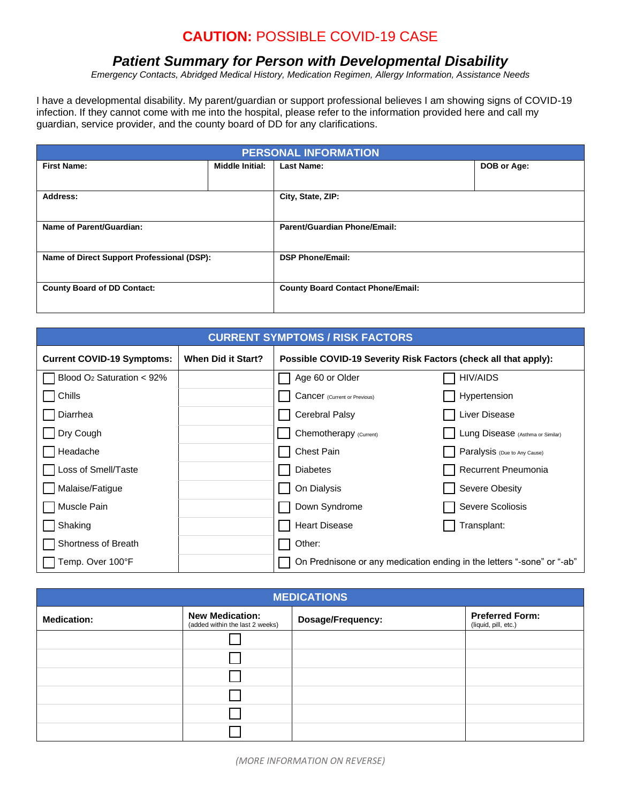# **CAUTION:** POSSIBLE COVID-19 CASE

## *Patient Summary for Person with Developmental Disability*

*Emergency Contacts, Abridged Medical History, Medication Regimen, Allergy Information, Assistance Needs*

I have a developmental disability. My parent/guardian or support professional believes I am showing signs of COVID-19 infection. If they cannot come with me into the hospital, please refer to the information provided here and call my guardian, service provider, and the county board of DD for any clarifications.

| <b>PERSONAL INFORMATION</b>                |                 |                                          |             |
|--------------------------------------------|-----------------|------------------------------------------|-------------|
| <b>First Name:</b>                         | Middle Initial: | <b>Last Name:</b>                        | DOB or Age: |
|                                            |                 |                                          |             |
| Address:                                   |                 | City, State, ZIP:                        |             |
|                                            |                 |                                          |             |
| Name of Parent/Guardian:                   |                 | <b>Parent/Guardian Phone/Email:</b>      |             |
|                                            |                 |                                          |             |
| Name of Direct Support Professional (DSP): |                 | <b>DSP Phone/Email:</b>                  |             |
|                                            |                 |                                          |             |
| <b>County Board of DD Contact:</b>         |                 | <b>County Board Contact Phone/Email:</b> |             |
|                                            |                 |                                          |             |

| <b>CURRENT SYMPTOMS / RISK FACTORS</b>   |                    |                                                                 |                                                                        |
|------------------------------------------|--------------------|-----------------------------------------------------------------|------------------------------------------------------------------------|
| <b>Current COVID-19 Symptoms:</b>        | When Did it Start? | Possible COVID-19 Severity Risk Factors (check all that apply): |                                                                        |
| Blood O <sub>2</sub> Saturation $< 92\%$ |                    | Age 60 or Older                                                 | <b>HIV/AIDS</b>                                                        |
| Chills                                   |                    | <b>Cancer</b> (Current or Previous)                             | Hypertension                                                           |
| Diarrhea                                 |                    | <b>Cerebral Palsy</b>                                           | Liver Disease                                                          |
| Dry Cough                                |                    | Chemotherapy (Current)                                          | Lung Disease (Asthma or Similar)                                       |
| Headache                                 |                    | <b>Chest Pain</b>                                               | Paralysis (Due to Any Cause)                                           |
| Loss of Smell/Taste                      |                    | <b>Diabetes</b>                                                 | Recurrent Pneumonia                                                    |
| Malaise/Fatigue                          |                    | On Dialysis                                                     | Severe Obesity                                                         |
| Muscle Pain                              |                    | Down Syndrome                                                   | Severe Scoliosis                                                       |
| Shaking                                  |                    | <b>Heart Disease</b>                                            | Transplant:                                                            |
| <b>Shortness of Breath</b>               |                    | Other:                                                          |                                                                        |
| Temp. Over 100°F                         |                    |                                                                 | On Prednisone or any medication ending in the letters "-sone" or "-ab" |

| <b>MEDICATIONS</b> |                                                           |                   |                                                |
|--------------------|-----------------------------------------------------------|-------------------|------------------------------------------------|
| <b>Medication:</b> | <b>New Medication:</b><br>(added within the last 2 weeks) | Dosage/Frequency: | <b>Preferred Form:</b><br>(liquid, pill, etc.) |
|                    |                                                           |                   |                                                |
|                    |                                                           |                   |                                                |
|                    |                                                           |                   |                                                |
|                    |                                                           |                   |                                                |
|                    |                                                           |                   |                                                |
|                    |                                                           |                   |                                                |